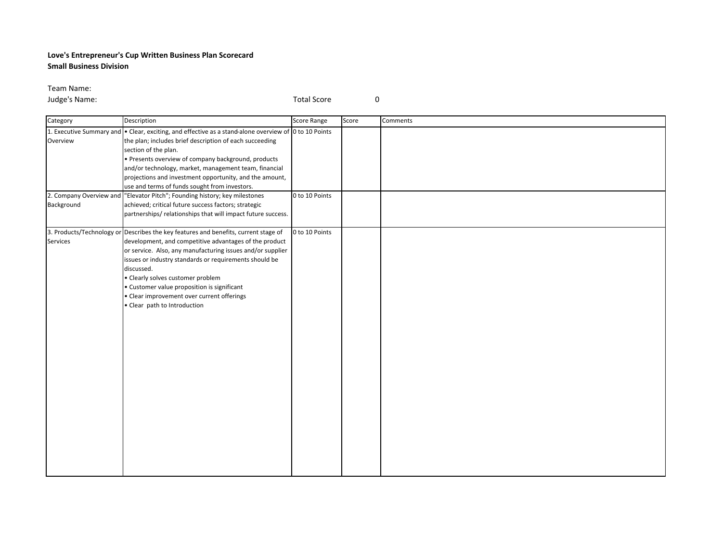## **Love's Entrepreneur's Cup Written Business Plan Scorecard Small Business Division**

Team Name:

**Judge's Name:** 0

| Category               | Description                                                                                                                                                                                                                                                                                                                                                                                                                                                                                                                                                | <b>Score Range</b> | Score | Comments |
|------------------------|------------------------------------------------------------------------------------------------------------------------------------------------------------------------------------------------------------------------------------------------------------------------------------------------------------------------------------------------------------------------------------------------------------------------------------------------------------------------------------------------------------------------------------------------------------|--------------------|-------|----------|
| Overview<br>Background | 1. Executive Summary and • Clear, exciting, and effective as a stand-alone overview of 0 to 10 Points<br>the plan; includes brief description of each succeeding<br>section of the plan.<br>• Presents overview of company background, products<br>and/or technology, market, management team, financial<br>projections and investment opportunity, and the amount,<br>use and terms of funds sought from investors.<br>2. Company Overview and "Elevator Pitch"; Founding history; key milestones<br>achieved; critical future success factors; strategic | 0 to 10 Points     |       |          |
|                        | partnerships/relationships that will impact future success.                                                                                                                                                                                                                                                                                                                                                                                                                                                                                                |                    |       |          |
| Services               | 3. Products/Technology or Describes the key features and benefits, current stage of<br>development, and competitive advantages of the product<br>or service. Also, any manufacturing issues and/or supplier<br>issues or industry standards or requirements should be<br>discussed.<br>• Clearly solves customer problem<br>• Customer value proposition is significant<br>• Clear improvement over current offerings<br>• Clear path to Introduction                                                                                                      | 0 to 10 Points     |       |          |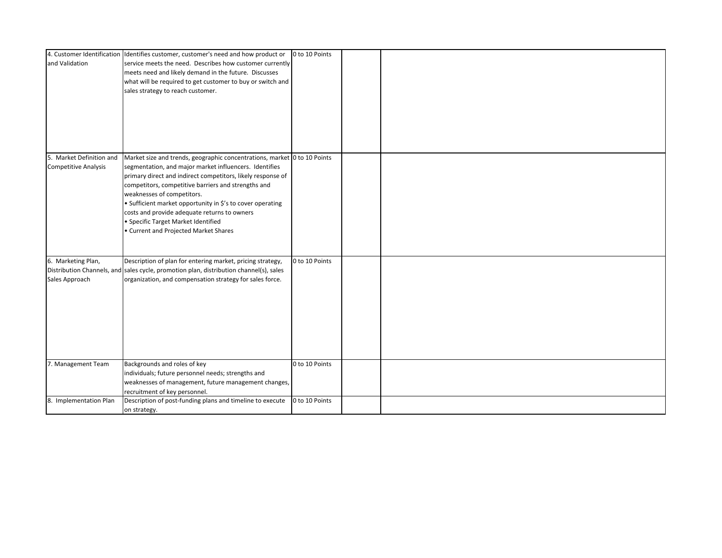|                             | 4. Customer Identification Identifies customer, customer's need and how product or     | 0 to 10 Points |  |
|-----------------------------|----------------------------------------------------------------------------------------|----------------|--|
| and Validation              | service meets the need. Describes how customer currently                               |                |  |
|                             | meets need and likely demand in the future. Discusses                                  |                |  |
|                             | what will be required to get customer to buy or switch and                             |                |  |
|                             | sales strategy to reach customer.                                                      |                |  |
|                             |                                                                                        |                |  |
|                             |                                                                                        |                |  |
|                             |                                                                                        |                |  |
|                             |                                                                                        |                |  |
|                             |                                                                                        |                |  |
|                             |                                                                                        |                |  |
| 5. Market Definition and    | Market size and trends, geographic concentrations, market 0 to 10 Points               |                |  |
| <b>Competitive Analysis</b> | segmentation, and major market influencers. Identifies                                 |                |  |
|                             | primary direct and indirect competitors, likely response of                            |                |  |
|                             | competitors, competitive barriers and strengths and                                    |                |  |
|                             | weaknesses of competitors.                                                             |                |  |
|                             | • Sufficient market opportunity in \$'s to cover operating                             |                |  |
|                             | costs and provide adequate returns to owners                                           |                |  |
|                             | • Specific Target Market Identified                                                    |                |  |
|                             | • Current and Projected Market Shares                                                  |                |  |
|                             |                                                                                        |                |  |
|                             |                                                                                        |                |  |
| 6. Marketing Plan,          | Description of plan for entering market, pricing strategy,                             | 0 to 10 Points |  |
|                             | Distribution Channels, and sales cycle, promotion plan, distribution channel(s), sales |                |  |
| Sales Approach              | organization, and compensation strategy for sales force.                               |                |  |
|                             |                                                                                        |                |  |
|                             |                                                                                        |                |  |
|                             |                                                                                        |                |  |
|                             |                                                                                        |                |  |
|                             |                                                                                        |                |  |
|                             |                                                                                        |                |  |
|                             |                                                                                        |                |  |
|                             |                                                                                        |                |  |
| 7. Management Team          | Backgrounds and roles of key                                                           | 0 to 10 Points |  |
|                             | individuals; future personnel needs; strengths and                                     |                |  |
|                             | weaknesses of management, future management changes,                                   |                |  |
|                             | recruitment of key personnel.                                                          |                |  |
| 8. Implementation Plan      | Description of post-funding plans and timeline to execute                              | 0 to 10 Points |  |
|                             | on strategy.                                                                           |                |  |